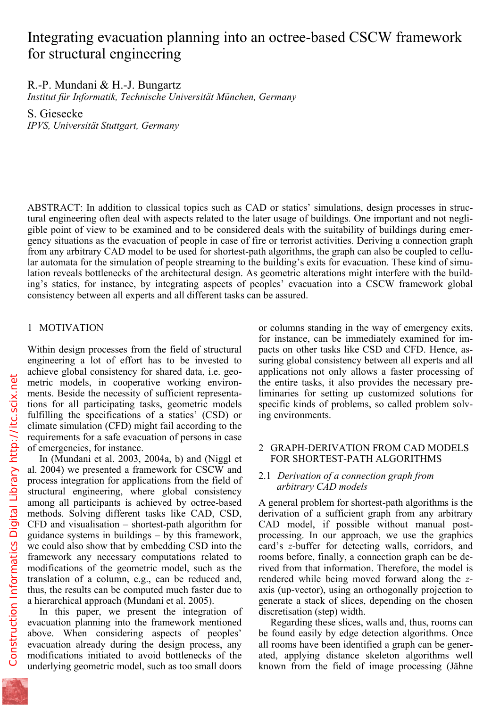# Integrating evacuation planning into an octree-based CSCW framework for structural engineering

## R.-P. Mundani & H.-J. Bungartz

*Institut für Informatik, Technische Universität München, Germany* 

S. Giesecke *IPVS, Universität Stuttgart, Germany* 

ABSTRACT: In addition to classical topics such as CAD or statics' simulations, design processes in structural engineering often deal with aspects related to the later usage of buildings. One important and not negligible point of view to be examined and to be considered deals with the suitability of buildings during emergency situations as the evacuation of people in case of fire or terrorist activities. Deriving a connection graph from any arbitrary CAD model to be used for shortest-path algorithms, the graph can also be coupled to cellular automata for the simulation of people streaming to the building's exits for evacuation. These kind of simulation reveals bottlenecks of the architectural design. As geometric alterations might interfere with the building's statics, for instance, by integrating aspects of peoples' evacuation into a CSCW framework global consistency between all experts and all different tasks can be assured.

## 1 MOTIVATION

Within design processes from the field of structural engineering a lot of effort has to be invested to achieve global consistency for shared data, i.e. geometric models, in cooperative working environments. Beside the necessity of sufficient representations for all participating tasks, geometric models fulfilling the specifications of a statics' (CSD) or climate simulation (CFD) might fail according to the requirements for a safe evacuation of persons in case of emergencies, for instance.

In (Mundani et al. 2003, 2004a, b) and (Niggl et al. 2004) we presented a framework for CSCW and process integration for applications from the field of structural engineering, where global consistency among all participants is achieved by octree-based methods. Solving different tasks like CAD, CSD, CFD and visualisation – shortest-path algorithm for guidance systems in buildings – by this framework, we could also show that by embedding CSD into the framework any necessary computations related to modifications of the geometric model, such as the translation of a column, e.g., can be reduced and, thus, the results can be computed much faster due to a hierarchical approach (Mundani et al. 2005).

In this paper, we present the integration of evacuation planning into the framework mentioned above. When considering aspects of peoples' evacuation already during the design process, any modifications initiated to avoid bottlenecks of the underlying geometric model, such as too small doors

or columns standing in the way of emergency exits, for instance, can be immediately examined for impacts on other tasks like CSD and CFD. Hence, assuring global consistency between all experts and all applications not only allows a faster processing of the entire tasks, it also provides the necessary preliminaries for setting up customized solutions for specific kinds of problems, so called problem solving environments.

#### 2 GRAPH-DERIVATION FROM CAD MODELS FOR SHORTEST-PATH ALGORITHMS

#### 2.1 *Derivation of a connection graph from arbitrary CAD models*

A general problem for shortest-path algorithms is the derivation of a sufficient graph from any arbitrary CAD model, if possible without manual postprocessing. In our approach, we use the graphics card's *z*-buffer for detecting walls, corridors, and rooms before, finally, a connection graph can be derived from that information. Therefore, the model is rendered while being moved forward along the *z*axis (up-vector), using an orthogonally projection to generate a stack of slices, depending on the chosen discretisation (step) width.

Regarding these slices, walls and, thus, rooms can be found easily by edge detection algorithms. Once all rooms have been identified a graph can be generated, applying distance skeleton algorithms well known from the field of image processing (Jähne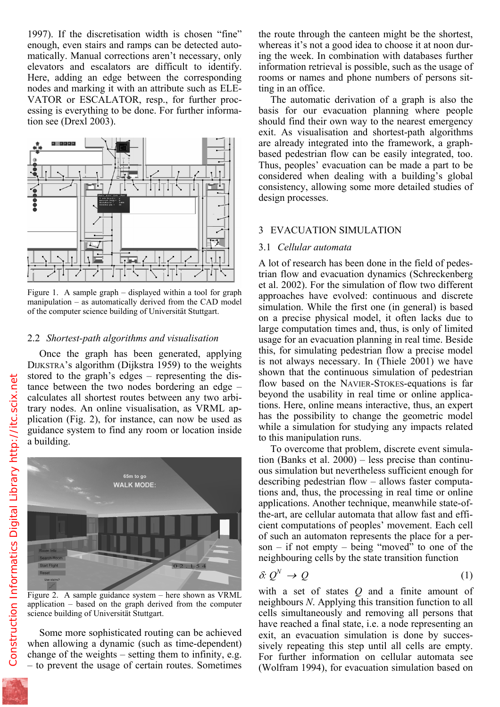enough, even stairs and ramps can be detected automatically. Manual corrections aren't necessary, only elevators and escalators are difficult to identify. Here, adding an edge between the corresponding nodes and marking it with an attribute such as ELE-VATOR or ESCALATOR, resp., for further processing is everything to be done. For further information see (Drexl 2003).



Figure 1. A sample graph – displayed within a tool for graph manipulation – as automatically derived from the CAD model of the computer science building of Universität Stuttgart.

#### 2.2 *Shortest-path algorithms and visualisation*

Once the graph has been generated, applying DIJKSTRA's algorithm (Dijkstra 1959) to the weights stored to the graph's edges – representing the distance between the two nodes bordering an edge – calculates all shortest routes between any two arbitrary nodes. An online visualisation, as VRML application (Fig. 2), for instance, can now be used as guidance system to find any room or location inside a building.



Figure 2. A sample guidance system – here shown as VRML application – based on the graph derived from the computer science building of Universität Stuttgart.

Some more sophisticated routing can be achieved when allowing a dynamic (such as time-dependent) change of the weights – setting them to infinity, e.g. – to prevent the usage of certain routes. Sometimes

whereas it's not a good idea to choose it at noon during the week. In combination with databases further information retrieval is possible, such as the usage of rooms or names and phone numbers of persons sitting in an office.

The automatic derivation of a graph is also the basis for our evacuation planning where people should find their own way to the nearest emergency exit. As visualisation and shortest-path algorithms are already integrated into the framework, a graphbased pedestrian flow can be easily integrated, too. Thus, peoples' evacuation can be made a part to be considered when dealing with a building's global consistency, allowing some more detailed studies of design processes.

#### 3 EVACUATION SIMULATION

#### 3.1 *Cellular automata*

A lot of research has been done in the field of pedestrian flow and evacuation dynamics (Schreckenberg et al. 2002). For the simulation of flow two different approaches have evolved: continuous and discrete simulation. While the first one (in general) is based on a precise physical model, it often lacks due to large computation times and, thus, is only of limited usage for an evacuation planning in real time. Beside this, for simulating pedestrian flow a precise model is not always necessary. In (Thiele 2001) we have shown that the continuous simulation of pedestrian flow based on the NAVIER-STOKES-equations is far beyond the usability in real time or online applications. Here, online means interactive, thus, an expert has the possibility to change the geometric model while a simulation for studying any impacts related to this manipulation runs.

To overcome that problem, discrete event simulation (Banks et al. 2000) – less precise than continuous simulation but nevertheless sufficient enough for describing pedestrian flow – allows faster computations and, thus, the processing in real time or online applications. Another technique, meanwhile state-ofthe-art, are cellular automata that allow fast and efficient computations of peoples' movement. Each cell of such an automaton represents the place for a person – if not empty – being "moved" to one of the neighbouring cells by the state transition function

$$
\delta: Q^N \to Q \tag{1}
$$

with a set of states *Q* and a finite amount of neighbours *N*. Applying this transition function to all cells simultaneously and removing all persons that have reached a final state, i.e. a node representing an exit, an evacuation simulation is done by successively repeating this step until all cells are empty. For further information on cellular automata see (Wolfram 1994), for evacuation simulation based on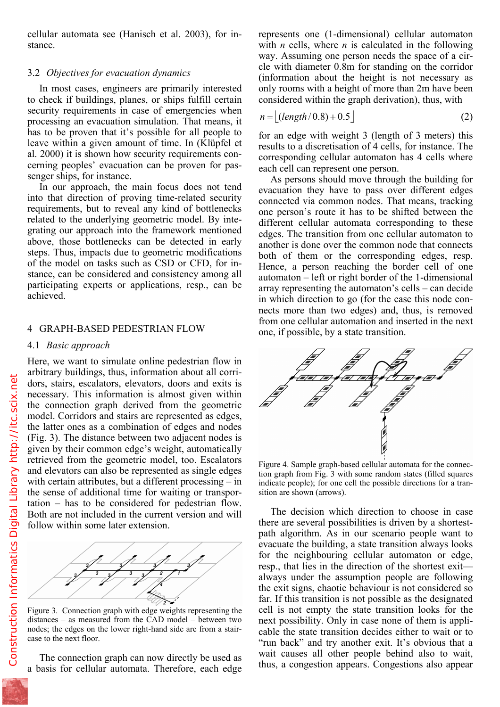stance.

### 3.2 *Objectives for evacuation dynamics*

In most cases, engineers are primarily interested to check if buildings, planes, or ships fulfill certain security requirements in case of emergencies when processing an evacuation simulation. That means, it has to be proven that it's possible for all people to leave within a given amount of time. In (Klüpfel et al. 2000) it is shown how security requirements concerning peoples' evacuation can be proven for passenger ships, for instance.

In our approach, the main focus does not tend into that direction of proving time-related security requirements, but to reveal any kind of bottlenecks related to the underlying geometric model. By integrating our approach into the framework mentioned above, those bottlenecks can be detected in early steps. Thus, impacts due to geometric modifications of the model on tasks such as CSD or CFD, for instance, can be considered and consistency among all participating experts or applications, resp., can be achieved.

#### 4 GRAPH-BASED PEDESTRIAN FLOW

#### 4.1 *Basic approach*

Here, we want to simulate online pedestrian flow in arbitrary buildings, thus, information about all corridors, stairs, escalators, elevators, doors and exits is necessary. This information is almost given within the connection graph derived from the geometric model. Corridors and stairs are represented as edges, the latter ones as a combination of edges and nodes (Fig. 3). The distance between two adjacent nodes is given by their common edge's weight, automatically retrieved from the geometric model, too. Escalators and elevators can also be represented as single edges with certain attributes, but a different processing – in the sense of additional time for waiting or transportation – has to be considered for pedestrian flow. Both are not included in the current version and will follow within some later extension.



Figure 3. Connection graph with edge weights representing the distances – as measured from the CAD model – between two nodes; the edges on the lower right-hand side are from a staircase to the next floor.

The connection graph can now directly be used as a basis for cellular automata. Therefore, each edge

with *n* cells, where *n* is calculated in the following way. Assuming one person needs the space of a circle with diameter 0.8m for standing on the corridor (information about the height is not necessary as only rooms with a height of more than 2m have been considered within the graph derivation), thus, with

$$
n = \lfloor (length/0.8) + 0.5 \rfloor \tag{2}
$$

for an edge with weight 3 (length of 3 meters) this results to a discretisation of 4 cells, for instance. The corresponding cellular automaton has 4 cells where each cell can represent one person.

As persons should move through the building for evacuation they have to pass over different edges connected via common nodes. That means, tracking one person's route it has to be shifted between the different cellular automata corresponding to these edges. The transition from one cellular automaton to another is done over the common node that connects both of them or the corresponding edges, resp. Hence, a person reaching the border cell of one automaton – left or right border of the 1-dimensional array representing the automaton's cells – can decide in which direction to go (for the case this node connects more than two edges) and, thus, is removed from one cellular automation and inserted in the next one, if possible, by a state transition.



Figure 4. Sample graph-based cellular automata for the connection graph from Fig. 3 with some random states (filled squares indicate people); for one cell the possible directions for a transition are shown (arrows).

The decision which direction to choose in case there are several possibilities is driven by a shortestpath algorithm. As in our scenario people want to evacuate the building, a state transition always looks for the neighbouring cellular automaton or edge, resp., that lies in the direction of the shortest exit always under the assumption people are following the exit signs, chaotic behaviour is not considered so far. If this transition is not possible as the designated cell is not empty the state transition looks for the next possibility. Only in case none of them is applicable the state transition decides either to wait or to "run back" and try another exit. It's obvious that a wait causes all other people behind also to wait, thus, a congestion appears. Congestions also appear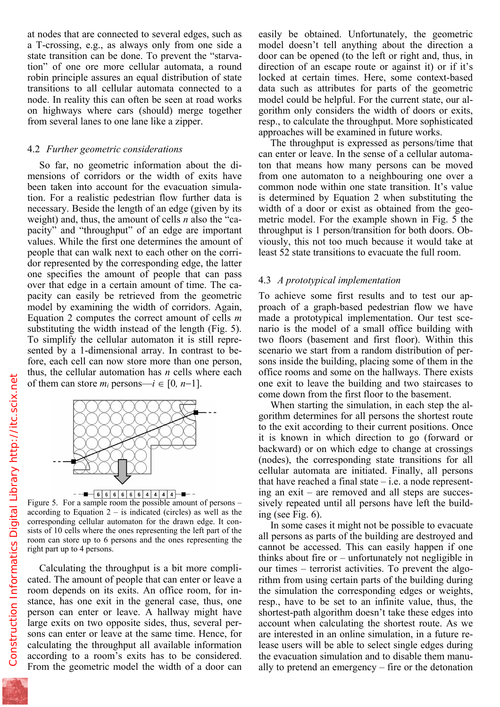a T-crossing, e.g., as always only from one side a state transition can be done. To prevent the "starvation" of one ore more cellular automata, a round robin principle assures an equal distribution of state transitions to all cellular automata connected to a node. In reality this can often be seen at road works on highways where cars (should) merge together from several lanes to one lane like a zipper.

#### 4.2 *Further geometric considerations*

So far, no geometric information about the dimensions of corridors or the width of exits have been taken into account for the evacuation simulation. For a realistic pedestrian flow further data is necessary. Beside the length of an edge (given by its weight) and, thus, the amount of cells *n* also the "capacity" and "throughput" of an edge are important values. While the first one determines the amount of people that can walk next to each other on the corridor represented by the corresponding edge, the latter one specifies the amount of people that can pass over that edge in a certain amount of time. The capacity can easily be retrieved from the geometric model by examining the width of corridors. Again, Equation 2 computes the correct amount of cells *m* substituting the width instead of the length (Fig. 5). To simplify the cellular automaton it is still represented by a 1-dimensional array. In contrast to before, each cell can now store more than one person, thus, the cellular automation has *n* cells where each of them can store  $m_i$  persons— $i \in [0, n-1]$ .



Figure 5. For a sample room the possible amount of persons – according to Equation  $2 -$  is indicated (circles) as well as the corresponding cellular automaton for the drawn edge. It consists of 10 cells where the ones representing the left part of the room can store up to 6 persons and the ones representing the right part up to 4 persons.

Calculating the throughput is a bit more complicated. The amount of people that can enter or leave a room depends on its exits. An office room, for instance, has one exit in the general case, thus, one person can enter or leave. A hallway might have large exits on two opposite sides, thus, several persons can enter or leave at the same time. Hence, for calculating the throughput all available information according to a room's exits has to be considered. From the geometric model the width of a door can

model doesn't tell anything about the direction a door can be opened (to the left or right and, thus, in direction of an escape route or against it) or if it's locked at certain times. Here, some context-based data such as attributes for parts of the geometric model could be helpful. For the current state, our algorithm only considers the width of doors or exits, resp., to calculate the throughput. More sophisticated approaches will be examined in future works.

The throughput is expressed as persons/time that can enter or leave. In the sense of a cellular automaton that means how many persons can be moved from one automaton to a neighbouring one over a common node within one state transition. It's value is determined by Equation 2 when substituting the width of a door or exist as obtained from the geometric model. For the example shown in Fig. 5 the throughput is 1 person/transition for both doors. Obviously, this not too much because it would take at least 52 state transitions to evacuate the full room.

#### 4.3 *A prototypical implementation*

To achieve some first results and to test our approach of a graph-based pedestrian flow we have made a prototypical implementation. Our test scenario is the model of a small office building with two floors (basement and first floor). Within this scenario we start from a random distribution of persons inside the building, placing some of them in the office rooms and some on the hallways. There exists one exit to leave the building and two staircases to come down from the first floor to the basement.

When starting the simulation, in each step the algorithm determines for all persons the shortest route to the exit according to their current positions. Once it is known in which direction to go (forward or backward) or on which edge to change at crossings (nodes), the corresponding state transitions for all cellular automata are initiated. Finally, all persons that have reached a final state  $-$  i.e. a node representing an exit – are removed and all steps are successively repeated until all persons have left the building (see Fig. 6).

In some cases it might not be possible to evacuate all persons as parts of the building are destroyed and cannot be accessed. This can easily happen if one thinks about fire or – unfortunately not negligible in our times – terrorist activities. To prevent the algorithm from using certain parts of the building during the simulation the corresponding edges or weights, resp., have to be set to an infinite value, thus, the shortest-path algorithm doesn't take these edges into account when calculating the shortest route. As we are interested in an online simulation, in a future release users will be able to select single edges during the evacuation simulation and to disable them manually to pretend an emergency – fire or the detonation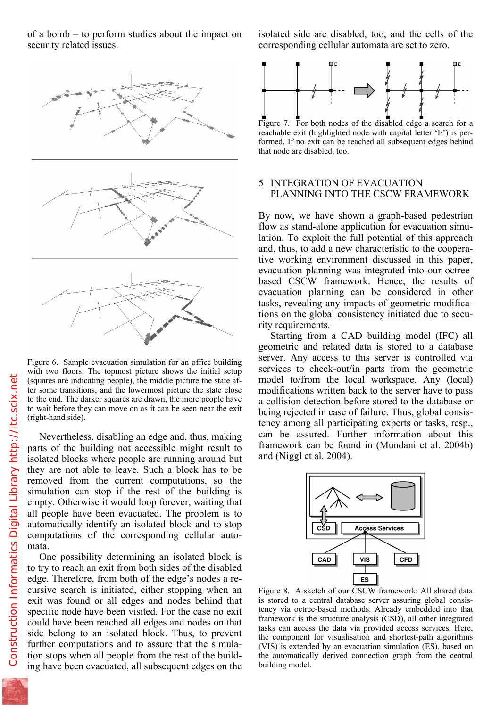security related issues.



Figure 6. Sample evacuation simulation for an office building with two floors: The topmost picture shows the initial setup (squares are indicating people), the middle picture the state after some transitions, and the lowermost picture the state close to the end. The darker squares are drawn, the more people have to wait before they can move on as it can be seen near the exit (right-hand side).

Nevertheless, disabling an edge and, thus, making parts of the building not accessible might result to isolated blocks where people are running around but they are not able to leave. Such a block has to be removed from the current computations, so the simulation can stop if the rest of the building is empty. Otherwise it would loop forever, waiting that all people have been evacuated. The problem is to automatically identify an isolated block and to stop computations of the corresponding cellular automata.

One possibility determining an isolated block is to try to reach an exit from both sides of the disabled edge. Therefore, from both of the edge's nodes a recursive search is initiated, either stopping when an exit was found or all edges and nodes behind that specific node have been visited. For the case no exit could have been reached all edges and nodes on that side belong to an isolated block. Thus, to prevent further computations and to assure that the simulation stops when all people from the rest of the building have been evacuated, all subsequent edges on the corresponding cellular automata are set to zero.



reachable exit (highlighted node with capital letter 'E') is performed. If no exit can be reached all subsequent edges behind that node are disabled, too.

#### 5 INTEGRATION OF EVACUATION PLANNING INTO THE CSCW FRAMEWORK

By now, we have shown a graph-based pedestrian flow as stand-alone application for evacuation simulation. To exploit the full potential of this approach and, thus, to add a new characteristic to the cooperative working environment discussed in this paper, evacuation planning was integrated into our octreebased CSCW framework. Hence, the results of evacuation planning can be considered in other tasks, revealing any impacts of geometric modifications on the global consistency initiated due to security requirements.

Starting from a CAD building model (IFC) all geometric and related data is stored to a database server. Any access to this server is controlled via services to check-out/in parts from the geometric model to/from the local workspace. Any (local) modifications written back to the server have to pass a collision detection before stored to the database or being rejected in case of failure. Thus, global consistency among all participating experts or tasks, resp., can be assured. Further information about this framework can be found in (Mundani et al. 2004b) and (Niggl et al. 2004).



Figure 8. A sketch of our CSCW framework: All shared data is stored to a central database server assuring global consistency via octree-based methods. Already embedded into that framework is the structure analysis (CSD), all other integrated tasks can access the data via provided access services. Here, the component for visualisation and shortest-path algorithms (VIS) is extended by an evacuation simulation (ES), based on the automatically derived connection graph from the central building model.